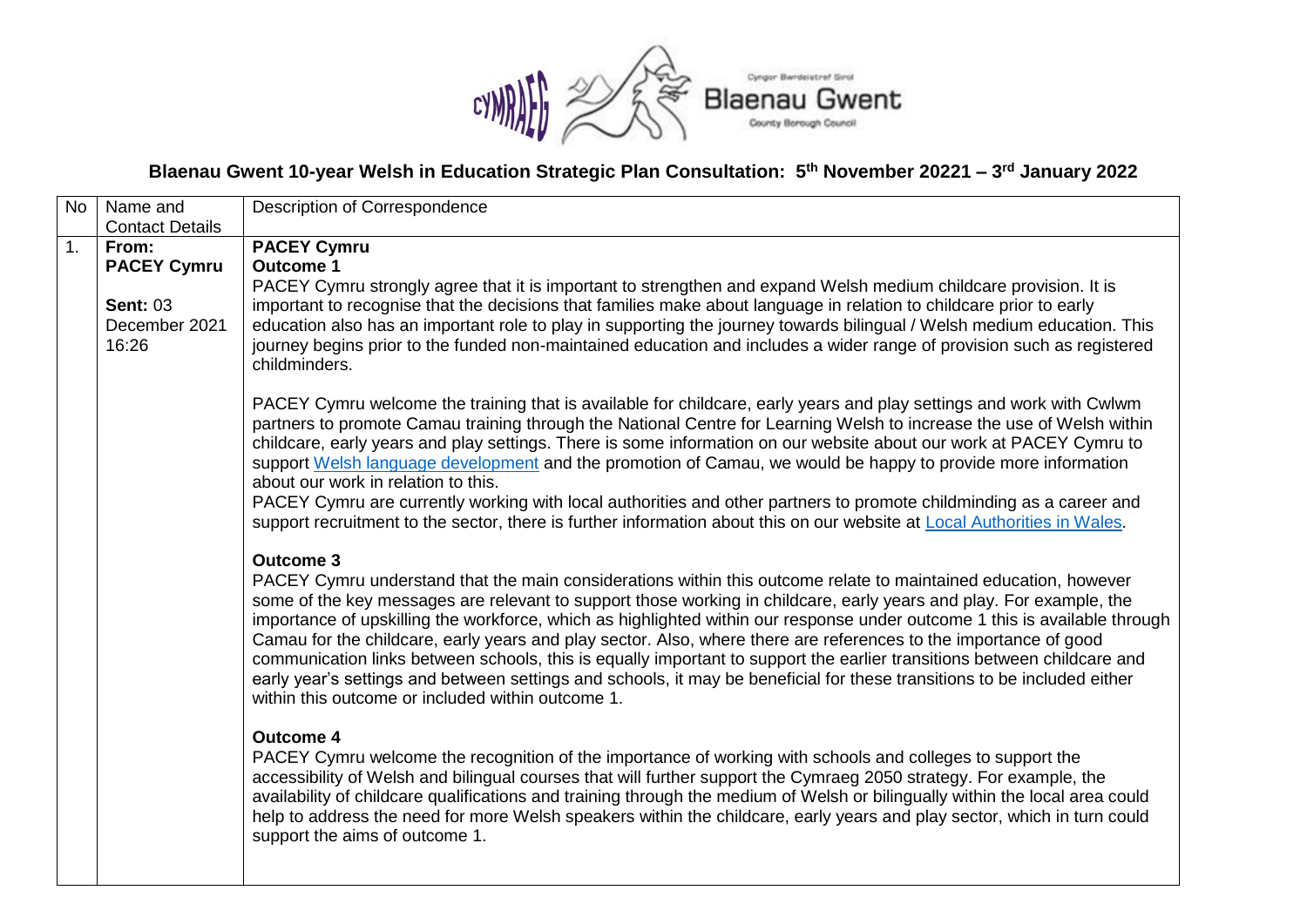

# **Blaenau Gwent 10-year Welsh in Education Strategic Plan Consultation: 5 th November 20221 – 3 rd January 2022**

| No             | Name and                                                                 | Description of Correspondence                                                                                                                                                                                                                                                                                                                                                                                                                                                                                                                                                                                                                                                                                                                                                                                                                                                                                                                                                                                                                                                                                                                                                                                                                                                                                                                                                                                                                                                                                                                                                                                                                                          |
|----------------|--------------------------------------------------------------------------|------------------------------------------------------------------------------------------------------------------------------------------------------------------------------------------------------------------------------------------------------------------------------------------------------------------------------------------------------------------------------------------------------------------------------------------------------------------------------------------------------------------------------------------------------------------------------------------------------------------------------------------------------------------------------------------------------------------------------------------------------------------------------------------------------------------------------------------------------------------------------------------------------------------------------------------------------------------------------------------------------------------------------------------------------------------------------------------------------------------------------------------------------------------------------------------------------------------------------------------------------------------------------------------------------------------------------------------------------------------------------------------------------------------------------------------------------------------------------------------------------------------------------------------------------------------------------------------------------------------------------------------------------------------------|
|                | <b>Contact Details</b>                                                   |                                                                                                                                                                                                                                                                                                                                                                                                                                                                                                                                                                                                                                                                                                                                                                                                                                                                                                                                                                                                                                                                                                                                                                                                                                                                                                                                                                                                                                                                                                                                                                                                                                                                        |
| $\mathbf{1}$ . | From:<br><b>PACEY Cymru</b><br><b>Sent: 03</b><br>December 2021<br>16:26 | <b>PACEY Cymru</b><br><b>Outcome 1</b><br>PACEY Cymru strongly agree that it is important to strengthen and expand Welsh medium childcare provision. It is<br>important to recognise that the decisions that families make about language in relation to childcare prior to early<br>education also has an important role to play in supporting the journey towards bilingual / Welsh medium education. This<br>journey begins prior to the funded non-maintained education and includes a wider range of provision such as registered<br>childminders.<br>PACEY Cymru welcome the training that is available for childcare, early years and play settings and work with Cwlwm<br>partners to promote Camau training through the National Centre for Learning Welsh to increase the use of Welsh within<br>childcare, early years and play settings. There is some information on our website about our work at PACEY Cymru to<br>support Welsh language development and the promotion of Camau, we would be happy to provide more information                                                                                                                                                                                                                                                                                                                                                                                                                                                                                                                                                                                                                         |
|                |                                                                          | about our work in relation to this.<br>PACEY Cymru are currently working with local authorities and other partners to promote childminding as a career and<br>support recruitment to the sector, there is further information about this on our website at Local Authorities in Wales.<br><b>Outcome 3</b><br>PACEY Cymru understand that the main considerations within this outcome relate to maintained education, however<br>some of the key messages are relevant to support those working in childcare, early years and play. For example, the<br>importance of upskilling the workforce, which as highlighted within our response under outcome 1 this is available through<br>Camau for the childcare, early years and play sector. Also, where there are references to the importance of good<br>communication links between schools, this is equally important to support the earlier transitions between childcare and<br>early year's settings and between settings and schools, it may be beneficial for these transitions to be included either<br>within this outcome or included within outcome 1.<br><b>Outcome 4</b><br>PACEY Cymru welcome the recognition of the importance of working with schools and colleges to support the<br>accessibility of Welsh and bilingual courses that will further support the Cymraeg 2050 strategy. For example, the<br>availability of childcare qualifications and training through the medium of Welsh or bilingually within the local area could<br>help to address the need for more Welsh speakers within the childcare, early years and play sector, which in turn could<br>support the aims of outcome 1. |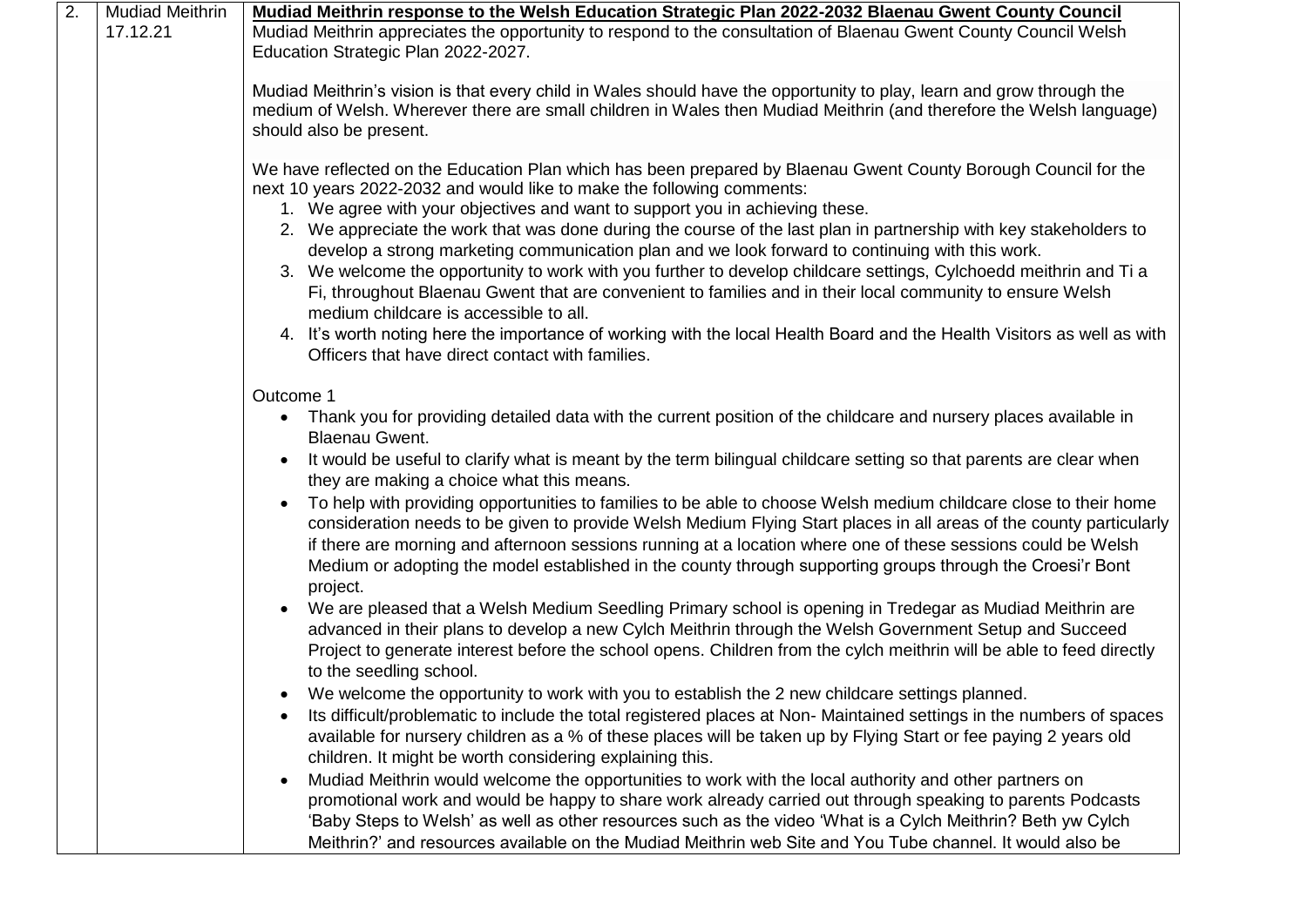| 2. | <b>Mudiad Meithrin</b><br>17.12.21 | Mudiad Meithrin response to the Welsh Education Strategic Plan 2022-2032 Blaenau Gwent County Council<br>Mudiad Meithrin appreciates the opportunity to respond to the consultation of Blaenau Gwent County Council Welsh<br>Education Strategic Plan 2022-2027.                                                                                                                                                                                                                  |
|----|------------------------------------|-----------------------------------------------------------------------------------------------------------------------------------------------------------------------------------------------------------------------------------------------------------------------------------------------------------------------------------------------------------------------------------------------------------------------------------------------------------------------------------|
|    |                                    | Mudiad Meithrin's vision is that every child in Wales should have the opportunity to play, learn and grow through the<br>medium of Welsh. Wherever there are small children in Wales then Mudiad Meithrin (and therefore the Welsh language)<br>should also be present.                                                                                                                                                                                                           |
|    |                                    | We have reflected on the Education Plan which has been prepared by Blaenau Gwent County Borough Council for the<br>next 10 years 2022-2032 and would like to make the following comments:<br>1. We agree with your objectives and want to support you in achieving these.<br>2. We appreciate the work that was done during the course of the last plan in partnership with key stakeholders to                                                                                   |
|    |                                    | develop a strong marketing communication plan and we look forward to continuing with this work.<br>3. We welcome the opportunity to work with you further to develop childcare settings, Cylchoedd meithrin and Ti a<br>Fi, throughout Blaenau Gwent that are convenient to families and in their local community to ensure Welsh<br>medium childcare is accessible to all.                                                                                                       |
|    |                                    | 4. It's worth noting here the importance of working with the local Health Board and the Health Visitors as well as with<br>Officers that have direct contact with families.                                                                                                                                                                                                                                                                                                       |
|    |                                    | Outcome 1                                                                                                                                                                                                                                                                                                                                                                                                                                                                         |
|    |                                    | Thank you for providing detailed data with the current position of the childcare and nursery places available in<br>$\bullet$<br><b>Blaenau Gwent.</b>                                                                                                                                                                                                                                                                                                                            |
|    |                                    | It would be useful to clarify what is meant by the term bilingual childcare setting so that parents are clear when<br>they are making a choice what this means.                                                                                                                                                                                                                                                                                                                   |
|    |                                    | To help with providing opportunities to families to be able to choose Welsh medium childcare close to their home<br>consideration needs to be given to provide Welsh Medium Flying Start places in all areas of the county particularly<br>if there are morning and afternoon sessions running at a location where one of these sessions could be Welsh<br>Medium or adopting the model established in the county through supporting groups through the Croesi'r Bont<br>project. |
|    |                                    | We are pleased that a Welsh Medium Seedling Primary school is opening in Tredegar as Mudiad Meithrin are<br>advanced in their plans to develop a new Cylch Meithrin through the Welsh Government Setup and Succeed<br>Project to generate interest before the school opens. Children from the cylch meithrin will be able to feed directly<br>to the seedling school.                                                                                                             |
|    |                                    | We welcome the opportunity to work with you to establish the 2 new childcare settings planned.<br>Its difficult/problematic to include the total registered places at Non-Maintained settings in the numbers of spaces<br>available for nursery children as a % of these places will be taken up by Flying Start or fee paying 2 years old<br>children. It might be worth considering explaining this.                                                                            |
|    |                                    | Mudiad Meithrin would welcome the opportunities to work with the local authority and other partners on<br>promotional work and would be happy to share work already carried out through speaking to parents Podcasts<br>'Baby Steps to Welsh' as well as other resources such as the video 'What is a Cylch Meithrin? Beth yw Cylch<br>Meithrin?' and resources available on the Mudiad Meithrin web Site and You Tube channel. It would also be                                  |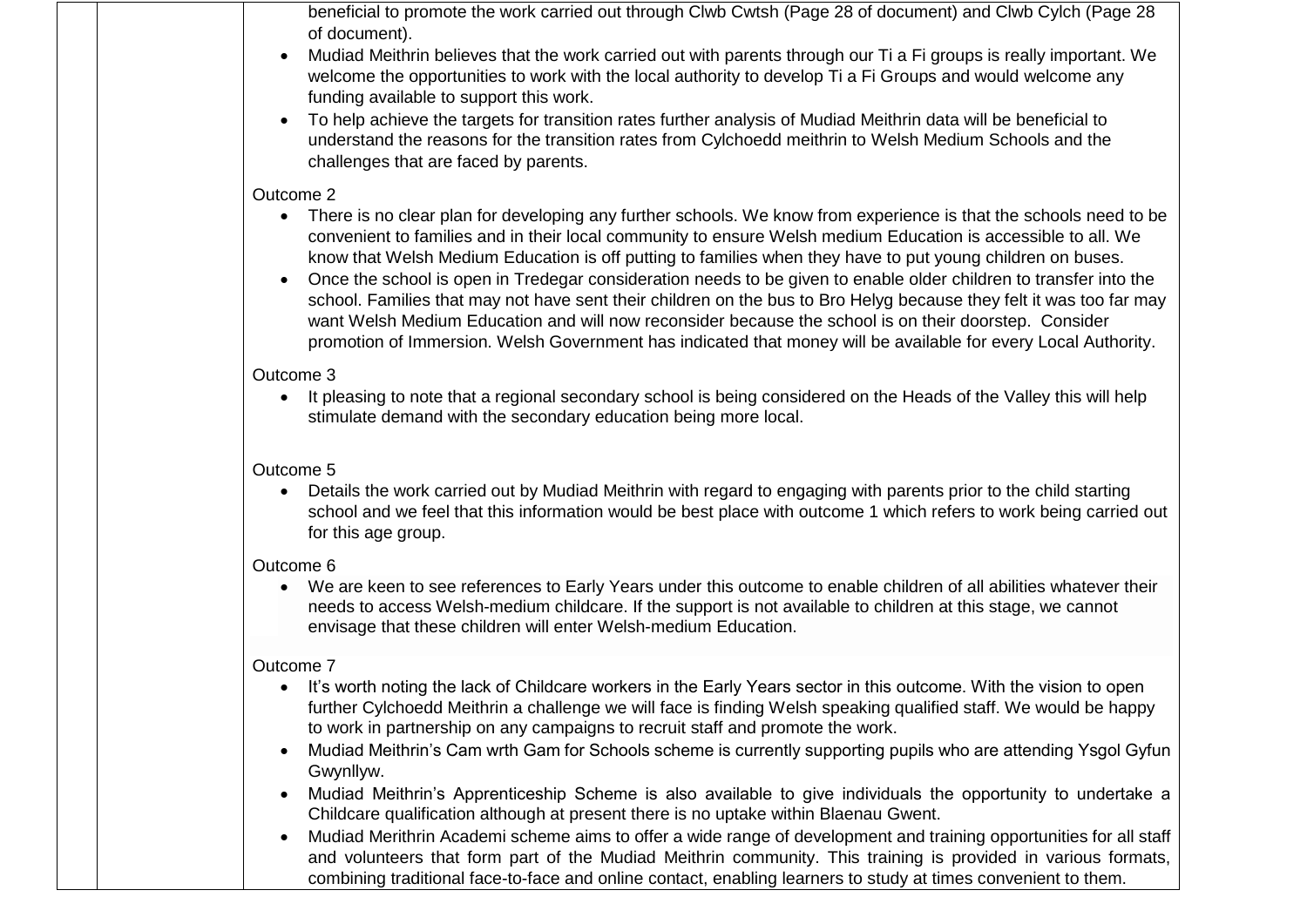beneficial to promote the work carried out through Clwb Cwtsh (Page 28 of document) and Clwb Cylch (Page 28 of document).

- Mudiad Meithrin believes that the work carried out with parents through our Ti a Fi groups is really important. We welcome the opportunities to work with the local authority to develop Ti a Fi Groups and would welcome any funding available to support this work.
- To help achieve the targets for transition rates further analysis of Mudiad Meithrin data will be beneficial to understand the reasons for the transition rates from Cylchoedd meithrin to Welsh Medium Schools and the challenges that are faced by parents.

#### Outcome 2

- There is no clear plan for developing any further schools. We know from experience is that the schools need to be convenient to families and in their local community to ensure Welsh medium Education is accessible to all. We know that Welsh Medium Education is off putting to families when they have to put young children on buses.
- Once the school is open in Tredegar consideration needs to be given to enable older children to transfer into the school. Families that may not have sent their children on the bus to Bro Helyg because they felt it was too far may want Welsh Medium Education and will now reconsider because the school is on their doorstep. Consider promotion of Immersion. Welsh Government has indicated that money will be available for every Local Authority.

#### Outcome 3

• It pleasing to note that a regional secondary school is being considered on the Heads of the Valley this will help stimulate demand with the secondary education being more local.

## Outcome 5

 Details the work carried out by Mudiad Meithrin with regard to engaging with parents prior to the child starting school and we feel that this information would be best place with outcome 1 which refers to work being carried out for this age group.

## Outcome 6

 We are keen to see references to Early Years under this outcome to enable children of all abilities whatever their needs to access Welsh-medium childcare. If the support is not available to children at this stage, we cannot envisage that these children will enter Welsh-medium Education.

## Outcome 7

- It's worth noting the lack of Childcare workers in the Early Years sector in this outcome. With the vision to open further Cylchoedd Meithrin a challenge we will face is finding Welsh speaking qualified staff. We would be happy to work in partnership on any campaigns to recruit staff and promote the work.
- Mudiad Meithrin's Cam wrth Gam for Schools scheme is currently supporting pupils who are attending Ysgol Gyfun Gwynllyw.
- Mudiad Meithrin's Apprenticeship Scheme is also available to give individuals the opportunity to undertake a Childcare qualification although at present there is no uptake within Blaenau Gwent.
- Mudiad Merithrin Academi scheme aims to offer a wide range of development and training opportunities for all staff and volunteers that form part of the Mudiad Meithrin community. This training is provided in various formats, combining traditional face-to-face and online contact, enabling learners to study at times convenient to them.